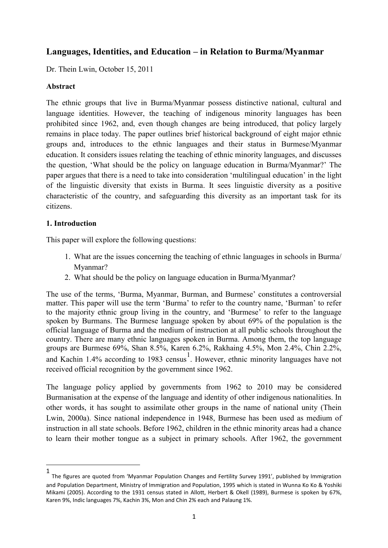# **Languages, Identities, and Education – in Relation to Burma/Myanmar**

Dr. Thein Lwin, October 15, 2011

#### **Abstract**

The ethnic groups that live in Burma/Myanmar possess distinctive national, cultural and language identities. However, the teaching of indigenous minority languages has been prohibited since 1962, and, even though changes are being introduced, that policy largely remains in place today. The paper outlines brief historical background of eight major ethnic groups and, introduces to the ethnic languages and their status in Burmese/Myanmar education. It considers issues relating the teaching of ethnic minority languages, and discusses the question, "What should be the policy on language education in Burma/Myanmar?" The paper argues that there is a need to take into consideration "multilingual education" in the light of the linguistic diversity that exists in Burma. It sees linguistic diversity as a positive characteristic of the country, and safeguarding this diversity as an important task for its citizens.

#### **1. Introduction**

This paper will explore the following questions:

- 1. What are the issues concerning the teaching of ethnic languages in schools in Burma/ Myanmar?
- 2. What should be the policy on language education in Burma/Myanmar?

The use of the terms, 'Burma, Myanmar, Burman, and Burmese' constitutes a controversial matter. This paper will use the term "Burma" to refer to the country name, "Burman" to refer to the majority ethnic group living in the country, and "Burmese" to refer to the language spoken by Burmans. The Burmese language spoken by about 69% of the population is the official language of Burma and the medium of instruction at all public schools throughout the country. There are many ethnic languages spoken in Burma. Among them, the top language groups are Burmese 69%, Shan 8.5%, Karen 6.2%, Rakhaing 4.5%, Mon 2.4%, Chin 2.2%, and Kachin 1.4% according to 1983 census<sup>1</sup>. However, ethnic minority languages have not received official recognition by the government since 1962.

The language policy applied by governments from 1962 to 2010 may be considered Burmanisation at the expense of the language and identity of other indigenous nationalities. In other words, it has sought to assimilate other groups in the name of national unity (Thein Lwin, 2000a). Since national independence in 1948, Burmese has been used as medium of instruction in all state schools. Before 1962, children in the ethnic minority areas had a chance to learn their mother tongue as a subject in primary schools. After 1962, the government

 <sup>1</sup> The figures are quoted from 'Myanmar Population Changes and Fertility Survey 1991', published by Immigration and Population Department, Ministry of Immigration and Population, 1995 which is stated in Wunna Ko Ko & Yoshiki Mikami (2005). According to the 1931 census stated in Allott, Herbert & Okell (1989), Burmese is spoken by 67%, Karen 9%, Indic languages 7%, Kachin 3%, Mon and Chin 2% each and Palaung 1%.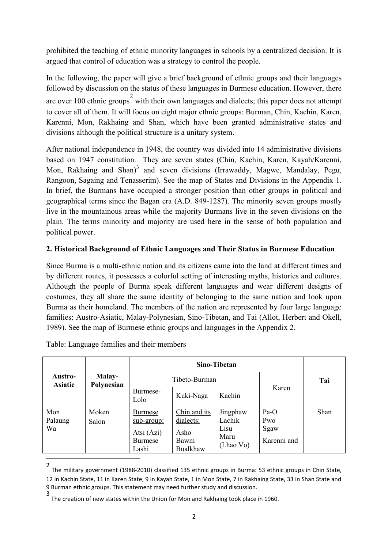prohibited the teaching of ethnic minority languages in schools by a centralized decision. It is argued that control of education was a strategy to control the people.

In the following, the paper will give a brief background of ethnic groups and their languages followed by discussion on the status of these languages in Burmese education. However, there are over 100 ethnic groups<sup>2</sup> with their own languages and dialects; this paper does not attempt to cover all of them. It will focus on eight major ethnic groups: Burman, Chin, Kachin, Karen, Karenni, Mon, Rakhaing and Shan, which have been granted administrative states and divisions although the political structure is a unitary system.

After national independence in 1948, the country was divided into 14 administrative divisions based on 1947 constitution. They are seven states (Chin, Kachin, Karen, Kayah/Karenni, Mon, Rakhaing and Shan)<sup>3</sup> and seven divisions (Irrawaddy, Magwe, Mandalay, Pegu, Rangoon, Sagaing and Tenasserim). See the map of States and Divisions in the Appendix 1. In brief, the Burmans have occupied a stronger position than other groups in political and geographical terms since the Bagan era (A.D. 849-1287). The minority seven groups mostly live in the mountainous areas while the majority Burmans live in the seven divisions on the plain. The terms minority and majority are used here in the sense of both population and political power.

### **2. Historical Background of Ethnic Languages and Their Status in Burmese Education**

Since Burma is a multi-ethnic nation and its citizens came into the land at different times and by different routes, it possesses a colorful setting of interesting myths, histories and cultures. Although the people of Burma speak different languages and wear different designs of costumes, they all share the same identity of belonging to the same nation and look upon Burma as their homeland. The members of the nation are represented by four large language families: Austro-Asiatic, Malay-Polynesian, Sino-Tibetan, and Tai (Allot, Herbert and Okell, 1989). See the map of Burmese ethnic groups and languages in the Appendix 2.

| Austro-<br><b>Asiatic</b> | Malay-<br>Polynesian |                                                                |                                                       |                                                 |                                      |             |
|---------------------------|----------------------|----------------------------------------------------------------|-------------------------------------------------------|-------------------------------------------------|--------------------------------------|-------------|
|                           |                      | Tibeto-Burman                                                  |                                                       |                                                 |                                      | Tai         |
|                           |                      | Burmese-<br>Lolo                                               | Kuki-Naga                                             | Kachin                                          | Karen                                |             |
| Mon<br>Palaung<br>Wa      | Moken<br>Salon       | <b>Burmese</b><br>sub-group:<br>Atsi (Azi)<br>Burmese<br>Lashi | Chin and its<br>dialects:<br>Asho<br>Bawm<br>Bualkhaw | Jingphaw<br>Lachik<br>Lisu<br>Maru<br>(Lhao Vo) | $Pa-O$<br>Pwo<br>Sgaw<br>Karenni and | <b>Shan</b> |

Table: Language families and their members

 <sup>2</sup> The military government (1988-2010) classified 135 ethnic groups in Burma: 53 ethnic groups in Chin State, 12 in Kachin State, 11 in Karen State, 9 in Kayah State, 1 in Mon State, 7 in Rakhaing State, 33 in Shan State and 9 Burman ethnic groups. This statement may need further study and discussion.

<sup>3</sup> The creation of new states within the Union for Mon and Rakhaing took place in 1960.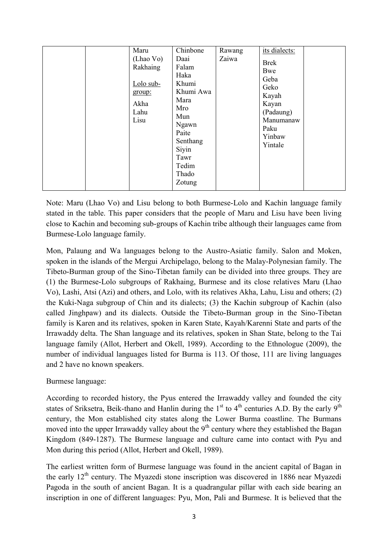|  | Maru<br>(Lhao Vo)<br>Rakhaing<br>Lolo sub-<br>group:<br>Akha<br>Lahu<br>Lisu | Chinbone<br>Daai<br>Falam<br>Haka<br>Khumi<br>Khumi Awa<br>Mara<br>Mro<br>Mun<br>Ngawn<br>Paite<br>Senthang<br>Siyin<br>Tawr<br>Tedim<br>Thado<br>Zotung | Rawang<br>Zaiwa | its dialects:<br><b>Brek</b><br>Bwe<br>Geba<br>Geko<br>Kayah<br>Kayan<br>(Padaung)<br>Manumanaw<br>Paku<br>Yinbaw<br>Yintale |
|--|------------------------------------------------------------------------------|----------------------------------------------------------------------------------------------------------------------------------------------------------|-----------------|------------------------------------------------------------------------------------------------------------------------------|
|--|------------------------------------------------------------------------------|----------------------------------------------------------------------------------------------------------------------------------------------------------|-----------------|------------------------------------------------------------------------------------------------------------------------------|

Note: Maru (Lhao Vo) and Lisu belong to both Burmese-Lolo and Kachin language family stated in the table. This paper considers that the people of Maru and Lisu have been living close to Kachin and becoming sub-groups of Kachin tribe although their languages came from Burmese-Lolo language family.

Mon, Palaung and Wa languages belong to the Austro-Asiatic family. Salon and Moken, spoken in the islands of the Mergui Archipelago, belong to the Malay-Polynesian family. The Tibeto-Burman group of the Sino-Tibetan family can be divided into three groups. They are (1) the Burmese-Lolo subgroups of Rakhaing, Burmese and its close relatives Maru (Lhao Vo), Lashi, Atsi (Azi) and others, and Lolo, with its relatives Akha, Lahu, Lisu and others; (2) the Kuki-Naga subgroup of Chin and its dialects; (3) the Kachin subgroup of Kachin (also called Jinghpaw) and its dialects. Outside the Tibeto-Burman group in the Sino-Tibetan family is Karen and its relatives, spoken in Karen State, Kayah/Karenni State and parts of the Irrawaddy delta. The Shan language and its relatives, spoken in Shan State, belong to the Tai language family (Allot, Herbert and Okell, 1989). According to the Ethnologue (2009), the number of individual languages listed for Burma is 113. Of those, 111 are living languages and 2 have no known speakers.

Burmese language:

According to recorded history, the Pyus entered the Irrawaddy valley and founded the city states of Sriksetra, Beik-thano and Hanlin during the  $1<sup>st</sup>$  to  $4<sup>th</sup>$  centuries A.D. By the early 9<sup>th</sup> century, the Mon established city states along the Lower Burma coastline. The Burmans moved into the upper Irrawaddy valley about the  $9<sup>th</sup>$  century where they established the Bagan Kingdom (849-1287). The Burmese language and culture came into contact with Pyu and Mon during this period (Allot, Herbert and Okell, 1989).

The earliest written form of Burmese language was found in the ancient capital of Bagan in the early  $12<sup>th</sup>$  century. The Myazedi stone inscription was discovered in 1886 near Myazedi Pagoda in the south of ancient Bagan. It is a quadrangular pillar with each side bearing an inscription in one of different languages: Pyu, Mon, Pali and Burmese. It is believed that the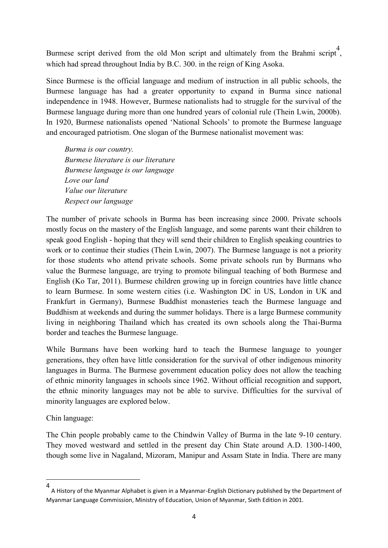Burmese script derived from the old Mon script and ultimately from the Brahmi script<sup>4</sup>, which had spread throughout India by B.C. 300. in the reign of King Asoka.

Since Burmese is the official language and medium of instruction in all public schools, the Burmese language has had a greater opportunity to expand in Burma since national independence in 1948. However, Burmese nationalists had to struggle for the survival of the Burmese language during more than one hundred years of colonial rule (Thein Lwin, 2000b). In 1920, Burmese nationalists opened "National Schools" to promote the Burmese language and encouraged patriotism. One slogan of the Burmese nationalist movement was:

*Burma is our country. Burmese literature is our literature Burmese language is our language Love our land Value our literature Respect our language*

The number of private schools in Burma has been increasing since 2000. Private schools mostly focus on the mastery of the English language, and some parents want their children to speak good English - hoping that they will send their children to English speaking countries to work or to continue their studies (Thein Lwin, 2007). The Burmese language is not a priority for those students who attend private schools. Some private schools run by Burmans who value the Burmese language, are trying to promote bilingual teaching of both Burmese and English (Ko Tar, 2011). Burmese children growing up in foreign countries have little chance to learn Burmese. In some western cities (i.e. Washington DC in US, London in UK and Frankfurt in Germany), Burmese Buddhist monasteries teach the Burmese language and Buddhism at weekends and during the summer holidays. There is a large Burmese community living in neighboring Thailand which has created its own schools along the Thai-Burma border and teaches the Burmese language.

While Burmans have been working hard to teach the Burmese language to younger generations, they often have little consideration for the survival of other indigenous minority languages in Burma. The Burmese government education policy does not allow the teaching of ethnic minority languages in schools since 1962. Without official recognition and support, the ethnic minority languages may not be able to survive. Difficulties for the survival of minority languages are explored below.

Chin language:

The Chin people probably came to the Chindwin Valley of Burma in the late 9-10 century. They moved westward and settled in the present day Chin State around A.D. 1300-1400, though some live in Nagaland, Mizoram, Manipur and Assam State in India. There are many

 <sup>4</sup> A History of the Myanmar Alphabet is given in a Myanmar-English Dictionary published by the Department of Myanmar Language Commission, Ministry of Education, Union of Myanmar, Sixth Edition in 2001.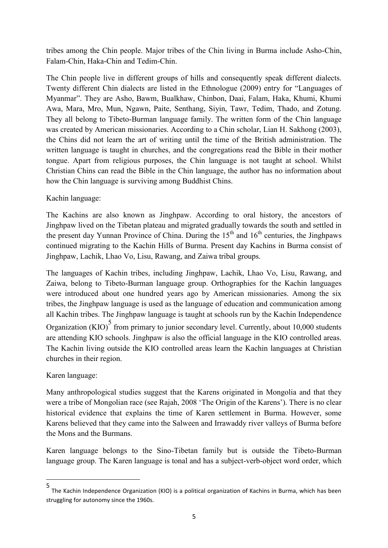tribes among the Chin people. Major tribes of the Chin living in Burma include Asho-Chin, Falam-Chin, Haka-Chin and Tedim-Chin.

The Chin people live in different groups of hills and consequently speak different dialects. Twenty different Chin dialects are listed in the Ethnologue (2009) entry for "Languages of Myanmar". They are Asho, Bawm, Bualkhaw, Chinbon, Daai, Falam, Haka, Khumi, Khumi Awa, Mara, Mro, Mun, Ngawn, Paite, Senthang, Siyin, Tawr, Tedim, Thado, and Zotung. They all belong to Tibeto-Burman language family. The written form of the Chin language was created by American missionaries. According to a Chin scholar, Lian H. Sakhong (2003), the Chins did not learn the art of writing until the time of the British administration. The written language is taught in churches, and the congregations read the Bible in their mother tongue. Apart from religious purposes, the Chin language is not taught at school. Whilst Christian Chins can read the Bible in the Chin language, the author has no information about how the Chin language is surviving among Buddhist Chins.

Kachin language:

The Kachins are also known as Jinghpaw. According to oral history, the ancestors of Jinghpaw lived on the Tibetan plateau and migrated gradually towards the south and settled in the present day Yunnan Province of China. During the  $15<sup>th</sup>$  and  $16<sup>th</sup>$  centuries, the Jinghpaws continued migrating to the Kachin Hills of Burma. Present day Kachins in Burma consist of Jinghpaw, Lachik, Lhao Vo, Lisu, Rawang, and Zaiwa tribal groups.

The languages of Kachin tribes, including Jinghpaw, Lachik, Lhao Vo, Lisu, Rawang, and Zaiwa, belong to Tibeto-Burman language group. Orthographies for the Kachin languages were introduced about one hundred years ago by American missionaries. Among the six tribes, the Jinghpaw language is used as the language of education and communication among all Kachin tribes. The Jinghpaw language is taught at schools run by the Kachin Independence Organization (KIO) $5$  from primary to junior secondary level. Currently, about 10,000 students are attending KIO schools. Jinghpaw is also the official language in the KIO controlled areas. The Kachin living outside the KIO controlled areas learn the Kachin languages at Christian churches in their region.

Karen language:

Many anthropological studies suggest that the Karens originated in Mongolia and that they were a tribe of Mongolian race (see Rajah, 2008 'The Origin of the Karens'). There is no clear historical evidence that explains the time of Karen settlement in Burma. However, some Karens believed that they came into the Salween and Irrawaddy river valleys of Burma before the Mons and the Burmans.

Karen language belongs to the Sino-Tibetan family but is outside the Tibeto-Burman language group. The Karen language is tonal and has a subject-verb-object word order, which

 <sup>5</sup> The Kachin Independence Organization (KIO) is a political organization of Kachins in Burma, which has been struggling for autonomy since the 1960s.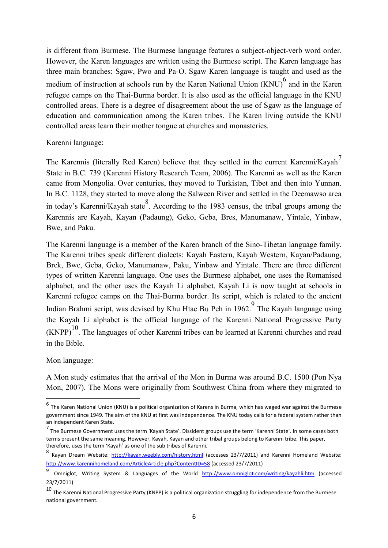is different from Burmese. The Burmese language features a subject-object-verb word order. However, the Karen languages are written using the Burmese script. The Karen language has three main branches: Sgaw, Pwo and Pa-O. Sgaw Karen language is taught and used as the medium of instruction at schools run by the Karen National Union (KNU)<sup>6</sup> and in the Karen refugee camps on the Thai-Burma border. It is also used as the official language in the KNU controlled areas. There is a degree of disagreement about the use of Sgaw as the language of education and communication among the Karen tribes. The Karen living outside the KNU controlled areas learn their mother tongue at churches and monasteries.

#### Karenni language:

The Karennis (literally Red Karen) believe that they settled in the current Karenni/Kayah<sup>7</sup> State in B.C. 739 (Karenni History Research Team, 2006). The Karenni as well as the Karen came from Mongolia. Over centuries, they moved to Turkistan, Tibet and then into Yunnan. In B.C. 1128, they started to move along the Salween River and settled in the Deemawso area in today"s Karenni/Kayah state 8 . According to the 1983 census, the tribal groups among the Karennis are Kayah, Kayan (Padaung), Geko, Geba, Bres, Manumanaw, Yintale, Yinbaw, Bwe, and Paku.

The Karenni language is a member of the Karen branch of the Sino-Tibetan language family. The Karenni tribes speak different dialects: Kayah Eastern, Kayah Western, Kayan/Padaung, Brek, Bwe, Geba, Geko, Manumanaw, Paku, Yinbaw and Yintale. There are three different types of written Karenni language. One uses the Burmese alphabet, one uses the Romanised alphabet, and the other uses the Kayah Li alphabet. Kayah Li is now taught at schools in Karenni refugee camps on the Thai-Burma border. Its script, which is related to the ancient Indian Brahmi script, was devised by Khu Htae Bu Peh in 1962. The Kayah language using the Kayah Li alphabet is the official language of the Karenni National Progressive Party  $(KNPP)<sup>10</sup>$ . The languages of other Karenni tribes can be learned at Karenni churches and read in the Bible.

#### Mon language:

A Mon study estimates that the arrival of the Mon in Burma was around B.C. 1500 (Pon Nya Mon, 2007). The Mons were originally from Southwest China from where they migrated to

 $^6$  The Karen National Union (KNU) is a political organization of Karens in Burma, which has waged war against the Burmese government since 1949. The aim of the KNU at first was independence. The KNU today calls for a federal system rather than an independent Karen State.

<sup>&</sup>lt;sup>7</sup> The Burmese Government uses the term 'Kayah State'. Dissident groups use the term 'Karenni State'. In some cases both terms present the same meaning. However, Kayah, Kayan and other tribal groups belong to Karenni tribe. This paper, therefore, uses the term 'Kayah' as one of the sub tribes of Karenni.

<sup>8</sup> Kayan Dream Website: <http://kayan.weebly.com/history.html> (accesses 23/7/2011) and Karenni Homeland Website: <http://www.karennihomeland.com/ArticleArticle.php?ContentID=58> (accessed 23/7/2011)

Omniglot, Writing System & Languages of the World <http://www.omniglot.com/writing/kayahli.htm> (accessed 23/7/2011)

 $10$  The Karenni National Progressive Party (KNPP) is a political organization struggling for independence from the Burmese national government.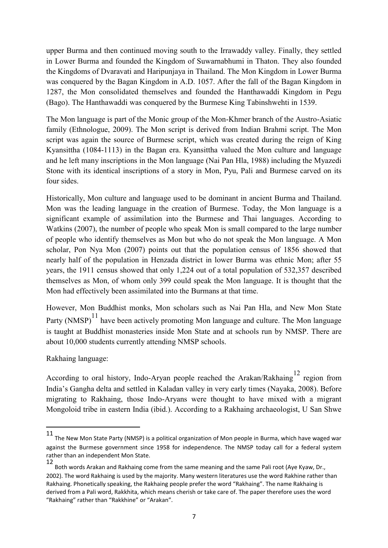upper Burma and then continued moving south to the Irrawaddy valley. Finally, they settled in Lower Burma and founded the Kingdom of Suwarnabhumi in Thaton. They also founded the Kingdoms of Dvaravati and Haripunjaya in Thailand. The Mon Kingdom in Lower Burma was conquered by the Bagan Kingdom in A.D. 1057. After the fall of the Bagan Kingdom in 1287, the Mon consolidated themselves and founded the Hanthawaddi Kingdom in Pegu (Bago). The Hanthawaddi was conquered by the Burmese King Tabinshwehti in 1539.

The Mon language is part of the Monic group of the Mon-Khmer branch of the Austro-Asiatic family (Ethnologue, 2009). The Mon script is derived from Indian Brahmi script. The Mon script was again the source of Burmese script, which was created during the reign of King Kyansittha (1084-1113) in the Bagan era. Kyansittha valued the Mon culture and language and he left many inscriptions in the Mon language (Nai Pan Hla, 1988) including the Myazedi Stone with its identical inscriptions of a story in Mon, Pyu, Pali and Burmese carved on its four sides.

Historically, Mon culture and language used to be dominant in ancient Burma and Thailand. Mon was the leading language in the creation of Burmese. Today, the Mon language is a significant example of assimilation into the Burmese and Thai languages. According to Watkins (2007), the number of people who speak Mon is small compared to the large number of people who identify themselves as Mon but who do not speak the Mon language. A Mon scholar, Pon Nya Mon (2007) points out that the population census of 1856 showed that nearly half of the population in Henzada district in lower Burma was ethnic Mon; after 55 years, the 1911 census showed that only 1,224 out of a total population of 532,357 described themselves as Mon, of whom only 399 could speak the Mon language. It is thought that the Mon had effectively been assimilated into the Burmans at that time.

However, Mon Buddhist monks, Mon scholars such as Nai Pan Hla, and New Mon State Party  $(NMSP)^{11}$  have been actively promoting Mon language and culture. The Mon language is taught at Buddhist monasteries inside Mon State and at schools run by NMSP. There are about 10,000 students currently attending NMSP schools.

Rakhaing language:

According to oral history, Indo-Aryan people reached the Arakan/Rakhaing<sup>12</sup> region from India"s Gangha delta and settled in Kaladan valley in very early times (Nayaka, 2008). Before migrating to Rakhaing, those Indo-Aryans were thought to have mixed with a migrant Mongoloid tribe in eastern India (ibid.). According to a Rakhaing archaeologist, U San Shwe

 <sup>11</sup> The New Mon State Party (NMSP) is a political organization of Mon people in Burma, which have waged war against the Burmese government since 1958 for independence. The NMSP today call for a federal system rather than an independent Mon State.

<sup>12</sup> Both words Arakan and Rakhaing come from the same meaning and the same Pali root (Aye Kyaw, Dr., 2002). The word Rakhaing is used by the majority. Many western literatures use the word Rakhine rather than Rakhaing. Phonetically speaking, the Rakhaing people prefer the word "Rakhaing". The name Rakhaing is derived from a Pali word, Rakkhita, which means cherish or take care of. The paper therefore uses the word "Rakhaing" rather than "Rakkhine" or "Arakan".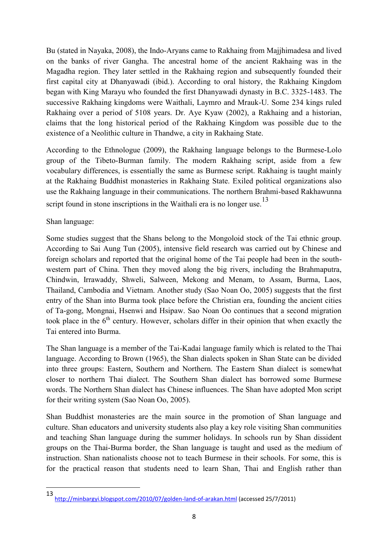Bu (stated in Nayaka, 2008), the Indo-Aryans came to Rakhaing from Majjhimadesa and lived on the banks of river Gangha. The ancestral home of the ancient Rakhaing was in the Magadha region. They later settled in the Rakhaing region and subsequently founded their first capital city at Dhanyawadi (ibid.). According to oral history, the Rakhaing Kingdom began with King Marayu who founded the first Dhanyawadi dynasty in B.C. 3325-1483. The successive Rakhaing kingdoms were Waithali, Laymro and Mrauk-U. Some 234 kings ruled Rakhaing over a period of 5108 years. Dr. Aye Kyaw (2002), a Rakhaing and a historian, claims that the long historical period of the Rakhaing Kingdom was possible due to the existence of a Neolithic culture in Thandwe, a city in Rakhaing State.

According to the Ethnologue (2009), the Rakhaing language belongs to the Burmese-Lolo group of the Tibeto-Burman family. The modern Rakhaing script, aside from a few vocabulary differences, is essentially the same as Burmese script. Rakhaing is taught mainly at the Rakhaing Buddhist monasteries in Rakhaing State. Exiled political organizations also use the Rakhaing language in their communications. The northern Brahmi-based Rakhawunna script found in stone inscriptions in the Waithali era is no longer use.<sup>13</sup>

Shan language:

Some studies suggest that the Shans belong to the Mongoloid stock of the Tai ethnic group. According to Sai Aung Tun (2005), intensive field research was carried out by Chinese and foreign scholars and reported that the original home of the Tai people had been in the southwestern part of China. Then they moved along the big rivers, including the Brahmaputra, Chindwin, Irrawaddy, Shweli, Salween, Mekong and Menam, to Assam, Burma, Laos, Thailand, Cambodia and Vietnam. Another study (Sao Noan Oo, 2005) suggests that the first entry of the Shan into Burma took place before the Christian era, founding the ancient cities of Ta-gong, Mongnai, Hsenwi and Hsipaw. Sao Noan Oo continues that a second migration took place in the  $6<sup>th</sup>$  century. However, scholars differ in their opinion that when exactly the Tai entered into Burma.

The Shan language is a member of the Tai-Kadai language family which is related to the Thai language. According to Brown (1965), the Shan dialects spoken in Shan State can be divided into three groups: Eastern, Southern and Northern. The Eastern Shan dialect is somewhat closer to northern Thai dialect. The Southern Shan dialect has borrowed some Burmese words. The Northern Shan dialect has Chinese influences. The Shan have adopted Mon script for their writing system (Sao Noan Oo, 2005).

Shan Buddhist monasteries are the main source in the promotion of Shan language and culture. Shan educators and university students also play a key role visiting Shan communities and teaching Shan language during the summer holidays. In schools run by Shan dissident groups on the Thai-Burma border, the Shan language is taught and used as the medium of instruction. Shan nationalists choose not to teach Burmese in their schools. For some, this is for the practical reason that students need to learn Shan, Thai and English rather than

 <sup>13</sup> <http://minbargyi.blogspot.com/2010/07/golden-land-of-arakan.html> (accessed 25/7/2011)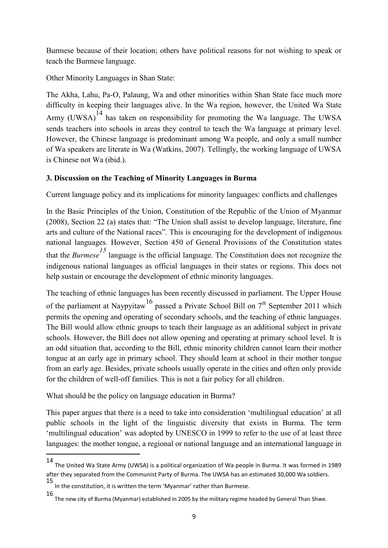Burmese because of their location; others have political reasons for not wishing to speak or teach the Burmese language.

Other Minority Languages in Shan State:

The Akha, Lahu, Pa-O, Palaung, Wa and other minorities within Shan State face much more difficulty in keeping their languages alive. In the Wa region, however, the United Wa State Army (UWSA) $^{14}$  has taken on responsibility for promoting the Wa language. The UWSA sends teachers into schools in areas they control to teach the Wa language at primary level. However, the Chinese language is predominant among Wa people, and only a small number of Wa speakers are literate in Wa (Watkins, 2007). Tellingly, the working language of UWSA is Chinese not Wa (ibid.).

# **3. Discussion on the Teaching of Minority Languages in Burma**

Current language policy and its implications for minority languages: conflicts and challenges

In the Basic Principles of the Union, Constitution of the Republic of the Union of Myanmar (2008), Section 22 (a) states that: "The Union shall assist to develop language, literature, fine arts and culture of the National races". This is encouraging for the development of indigenous national languages. However, Section 450 of General Provisions of the Constitution states that the *Burmese<sup>15</sup>* language is the official language. The Constitution does not recognize the indigenous national languages as official languages in their states or regions. This does not help sustain or encourage the development of ethnic minority languages.

The teaching of ethnic languages has been recently discussed in parliament. The Upper House of the parliament at Naypyitaw<sup>16</sup> passed a Private School Bill on  $7<sup>th</sup>$  September 2011 which permits the opening and operating of secondary schools, and the teaching of ethnic languages. The Bill would allow ethnic groups to teach their language as an additional subject in private schools. However, the Bill does not allow opening and operating at primary school level. It is an odd situation that, according to the Bill, ethnic minority children cannot learn their mother tongue at an early age in primary school. They should learn at school in their mother tongue from an early age. Besides, private schools usually operate in the cities and often only provide for the children of well-off families. This is not a fair policy for all children.

What should be the policy on language education in Burma?

This paper argues that there is a need to take into consideration "multilingual education" at all public schools in the light of the linguistic diversity that exists in Burma. The term 'multilingual education' was adopted by UNESCO in 1999 to refer to the use of at least three languages: the mother tongue, a regional or national language and an international language in

 <sup>14</sup> The United Wa State Army (UWSA) is a political organization of Wa people in Burma. It was formed in 1989 after they separated from the Communist Party of Burma. The UWSA has an estimated 30,000 Wa soldiers.

<sup>15</sup> In the constitution, it is written the term 'Myanmar' rather than Burmese.

<sup>16</sup> The new city of Burma (Myanmar) established in 2005 by the military regime headed by General Than Shwe.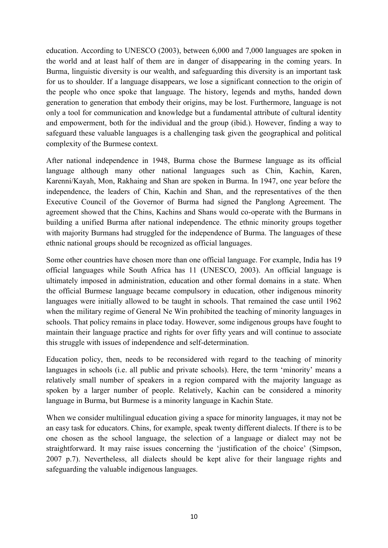education. According to UNESCO (2003), between 6,000 and 7,000 languages are spoken in the world and at least half of them are in danger of disappearing in the coming years. In Burma, linguistic diversity is our wealth, and safeguarding this diversity is an important task for us to shoulder. If a language disappears, we lose a significant connection to the origin of the people who once spoke that language. The history, legends and myths, handed down generation to generation that embody their origins, may be lost. Furthermore, language is not only a tool for communication and knowledge but a fundamental attribute of cultural identity and empowerment, both for the individual and the group (ibid.). However, finding a way to safeguard these valuable languages is a challenging task given the geographical and political complexity of the Burmese context.

After national independence in 1948, Burma chose the Burmese language as its official language although many other national languages such as Chin, Kachin, Karen, Karenni/Kayah, Mon, Rakhaing and Shan are spoken in Burma. In 1947, one year before the independence, the leaders of Chin, Kachin and Shan, and the representatives of the then Executive Council of the Governor of Burma had signed the Panglong Agreement. The agreement showed that the Chins, Kachins and Shans would co-operate with the Burmans in building a unified Burma after national independence. The ethnic minority groups together with majority Burmans had struggled for the independence of Burma. The languages of these ethnic national groups should be recognized as official languages.

Some other countries have chosen more than one official language. For example, India has 19 official languages while South Africa has 11 (UNESCO, 2003). An official language is ultimately imposed in administration, education and other formal domains in a state. When the official Burmese language became compulsory in education, other indigenous minority languages were initially allowed to be taught in schools. That remained the case until 1962 when the military regime of General Ne Win prohibited the teaching of minority languages in schools. That policy remains in place today. However, some indigenous groups have fought to maintain their language practice and rights for over fifty years and will continue to associate this struggle with issues of independence and self-determination.

Education policy, then, needs to be reconsidered with regard to the teaching of minority languages in schools (i.e. all public and private schools). Here, the term "minority" means a relatively small number of speakers in a region compared with the majority language as spoken by a larger number of people. Relatively, Kachin can be considered a minority language in Burma, but Burmese is a minority language in Kachin State.

When we consider multilingual education giving a space for minority languages, it may not be an easy task for educators. Chins, for example, speak twenty different dialects. If there is to be one chosen as the school language, the selection of a language or dialect may not be straightforward. It may raise issues concerning the "justification of the choice" (Simpson, 2007 p.7). Nevertheless, all dialects should be kept alive for their language rights and safeguarding the valuable indigenous languages.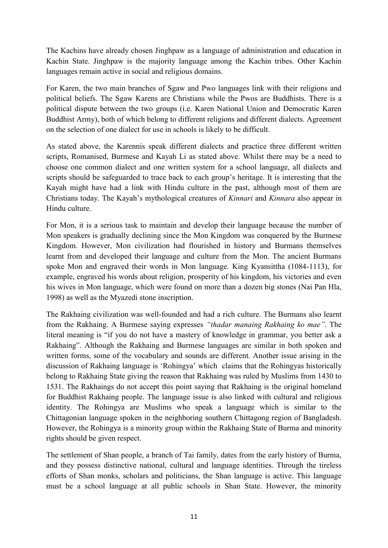The Kachins have already chosen Jinghpaw as a language of administration and education in Kachin State. Jinghpaw is the majority language among the Kachin tribes. Other Kachin languages remain active in social and religious domains.

For Karen, the two main branches of Sgaw and Pwo languages link with their religions and political beliefs. The Sgaw Karens are Christians while the Pwos are Buddhists. There is a political dispute between the two groups (i.e. Karen National Union and Democratic Karen Buddhist Army), both of which belong to different religions and different dialects. Agreement on the selection of one dialect for use in schools is likely to be difficult.

As stated above, the Karennis speak different dialects and practice three different written scripts, Romanised, Burmese and Kayah Li as stated above. Whilst there may be a need to choose one common dialect and one written system for a school language, all dialects and scripts should be safeguarded to trace back to each group"s heritage. It is interesting that the Kayah might have had a link with Hindu culture in the past, although most of them are Christians today. The Kayah"s mythological creatures of *Kinnari* and *Kinnara* also appear in Hindu culture.

For Mon, it is a serious task to maintain and develop their language because the number of Mon speakers is gradually declining since the Mon Kingdom was conquered by the Burmese Kingdom. However, Mon civilization had flourished in history and Burmans themselves learnt from and developed their language and culture from the Mon. The ancient Burmans spoke Mon and engraved their words in Mon language. King Kyansittha (1084-1113), for example, engraved his words about religion, prosperity of his kingdom, his victories and even his wives in Mon language, which were found on more than a dozen big stones (Nai Pan Hla, 1998) as well as the Myazedi stone inscription.

The Rakhaing civilization was well-founded and had a rich culture. The Burmans also learnt from the Rakhaing. A Burmese saying expresses *"thadar manaing Rakhaing ko mae"*. The literal meaning is "if you do not have a mastery of knowledge in grammar, you better ask a Rakhaing". Although the Rakhaing and Burmese languages are similar in both spoken and written forms, some of the vocabulary and sounds are different. Another issue arising in the discussion of Rakhaing language is "Rohingya" which claims that the Rohingyas historically belong to Rakhaing State giving the reason that Rakhaing was ruled by Muslims from 1430 to 1531. The Rakhaings do not accept this point saying that Rakhaing is the original homeland for Buddhist Rakhaing people. The language issue is also linked with cultural and religious identity. The Rohingya are Muslims who speak a language which is similar to the Chittagonian language spoken in the neighboring southern Chittagong region of Bangladesh. However, the Rohingya is a minority group within the Rakhaing State of Burma and minority rights should be given respect.

The settlement of Shan people, a branch of Tai family, dates from the early history of Burma, and they possess distinctive national, cultural and language identities. Through the tireless efforts of Shan monks, scholars and politicians, the Shan language is active. This language must be a school language at all public schools in Shan State. However, the minority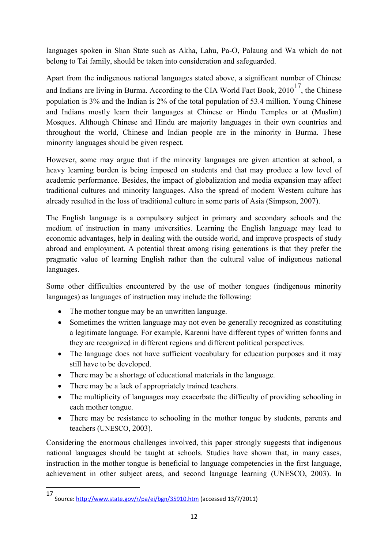languages spoken in Shan State such as Akha, Lahu, Pa-O, Palaung and Wa which do not belong to Tai family, should be taken into consideration and safeguarded.

Apart from the indigenous national languages stated above, a significant number of Chinese and Indians are living in Burma. According to the CIA World Fact Book,  $2010^{17}$ , the Chinese population is 3% and the Indian is 2% of the total population of 53.4 million. Young Chinese and Indians mostly learn their languages at Chinese or Hindu Temples or at (Muslim) Mosques. Although Chinese and Hindu are majority languages in their own countries and throughout the world, Chinese and Indian people are in the minority in Burma. These minority languages should be given respect.

However, some may argue that if the minority languages are given attention at school, a heavy learning burden is being imposed on students and that may produce a low level of academic performance. Besides, the impact of globalization and media expansion may affect traditional cultures and minority languages. Also the spread of modern Western culture has already resulted in the loss of traditional culture in some parts of Asia (Simpson, 2007).

The English language is a compulsory subject in primary and secondary schools and the medium of instruction in many universities. Learning the English language may lead to economic advantages, help in dealing with the outside world, and improve prospects of study abroad and employment. A potential threat among rising generations is that they prefer the pragmatic value of learning English rather than the cultural value of indigenous national languages.

Some other difficulties encountered by the use of mother tongues (indigenous minority languages) as languages of instruction may include the following:

- The mother tongue may be an unwritten language.
- Sometimes the written language may not even be generally recognized as constituting a legitimate language. For example, Karenni have different types of written forms and they are recognized in different regions and different political perspectives.
- The language does not have sufficient vocabulary for education purposes and it may still have to be developed.
- There may be a shortage of educational materials in the language.
- There may be a lack of appropriately trained teachers.
- The multiplicity of languages may exacerbate the difficulty of providing schooling in each mother tongue.
- There may be resistance to schooling in the mother tongue by students, parents and teachers (UNESCO, 2003).

Considering the enormous challenges involved, this paper strongly suggests that indigenous national languages should be taught at schools. Studies have shown that, in many cases, instruction in the mother tongue is beneficial to language competencies in the first language, achievement in other subject areas, and second language learning (UNESCO, 2003). In

 <sup>17</sup> Source[: http://www.state.gov/r/pa/ei/bgn/35910.htm](http://www.state.gov/r/pa/ei/bgn/35910.htm) (accessed 13/7/2011)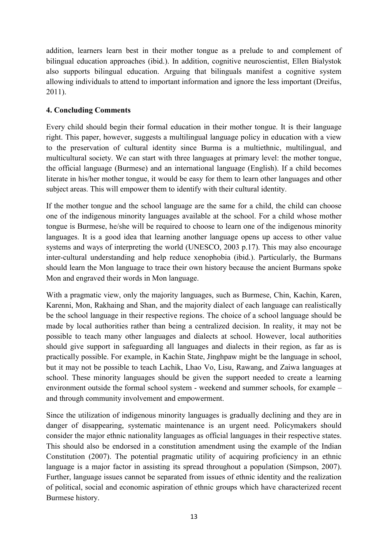addition, learners learn best in their mother tongue as a prelude to and complement of bilingual education approaches (ibid.). In addition, cognitive neuroscientist, Ellen Bialystok also supports bilingual education. Arguing that bilinguals manifest a cognitive system allowing individuals to attend to important information and ignore the less important (Dreifus, 2011).

### **4. Concluding Comments**

Every child should begin their formal education in their mother tongue. It is their language right. This paper, however, suggests a multilingual language policy in education with a view to the preservation of cultural identity since Burma is a multiethnic, multilingual, and multicultural society. We can start with three languages at primary level: the mother tongue, the official language (Burmese) and an international language (English). If a child becomes literate in his/her mother tongue, it would be easy for them to learn other languages and other subject areas. This will empower them to identify with their cultural identity.

If the mother tongue and the school language are the same for a child, the child can choose one of the indigenous minority languages available at the school. For a child whose mother tongue is Burmese, he/she will be required to choose to learn one of the indigenous minority languages. It is a good idea that learning another language opens up access to other value systems and ways of interpreting the world (UNESCO, 2003 p.17). This may also encourage inter-cultural understanding and help reduce xenophobia (ibid.). Particularly, the Burmans should learn the Mon language to trace their own history because the ancient Burmans spoke Mon and engraved their words in Mon language.

With a pragmatic view, only the majority languages, such as Burmese, Chin, Kachin, Karen, Karenni, Mon, Rakhaing and Shan, and the majority dialect of each language can realistically be the school language in their respective regions. The choice of a school language should be made by local authorities rather than being a centralized decision. In reality, it may not be possible to teach many other languages and dialects at school. However, local authorities should give support in safeguarding all languages and dialects in their region, as far as is practically possible. For example, in Kachin State, Jinghpaw might be the language in school, but it may not be possible to teach Lachik, Lhao Vo, Lisu, Rawang, and Zaiwa languages at school. These minority languages should be given the support needed to create a learning environment outside the formal school system - weekend and summer schools, for example – and through community involvement and empowerment.

Since the utilization of indigenous minority languages is gradually declining and they are in danger of disappearing, systematic maintenance is an urgent need. Policymakers should consider the major ethnic nationality languages as official languages in their respective states. This should also be endorsed in a constitution amendment using the example of the Indian Constitution (2007). The potential pragmatic utility of acquiring proficiency in an ethnic language is a major factor in assisting its spread throughout a population (Simpson, 2007). Further, language issues cannot be separated from issues of ethnic identity and the realization of political, social and economic aspiration of ethnic groups which have characterized recent Burmese history.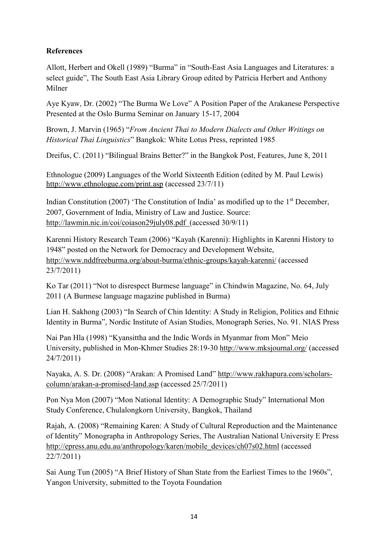## **References**

Allott, Herbert and Okell (1989) "Burma" in "South-East Asia Languages and Literatures: a select guide", The South East Asia Library Group edited by Patricia Herbert and Anthony Milner

Aye Kyaw, Dr. (2002) "The Burma We Love" A Position Paper of the Arakanese Perspective Presented at the Oslo Burma Seminar on January 15-17, 2004

Brown, J. Marvin (1965) "*From Ancient Thai to Modern Dialects and Other Writings on Historical Thai Linguistics*" Bangkok: White Lotus Press, reprinted 1985

Dreifus, C. (2011) "Bilingual Brains Better?" in the Bangkok Post, Features, June 8, 2011

Ethnologue (2009) Languages of the World Sixteenth Edition (edited by M. Paul Lewis) <http://www.ethnologue.com/print.asp> (accessed 23/7/11)

Indian Constitution (2007) 'The Constitution of India' as modified up to the  $1<sup>st</sup>$  December, 2007, Government of India, Ministry of Law and Justice. Source: <http://lawmin.nic.in/coi/coiason29july08.pdf>(accessed 30/9/11)

Karenni History Research Team (2006) "Kayah (Karenni): Highlights in Karenni History to 1948" posted on the Network for Democracy and Development Website, <http://www.nddfreeburma.org/about-burma/ethnic-groups/kayah-karenni/> (accessed 23/7/2011)

Ko Tar (2011) "Not to disrespect Burmese language" in Chindwin Magazine, No. 64, July 2011 (A Burmese language magazine published in Burma)

Lian H. Sakhong (2003) "In Search of Chin Identity: A Study in Religion, Politics and Ethnic Identity in Burma", Nordic Institute of Asian Studies, Monograph Series, No. 91. NIAS Press

Nai Pan Hla (1998) "Kyansittha and the Indic Words in Myanmar from Mon" Meio University, published in Mon-Khmer Studies 28:19-30<http://www.mksjournal.org/> (accessed 24/7/2011)

Nayaka, A. S. Dr. (2008) "Arakan: A Promised Land" [http://www.rakhapura.com/scholars](http://www.rakhapura.com/scholars-column/arakan-a-promised-land.asp)[column/arakan-a-promised-land.asp](http://www.rakhapura.com/scholars-column/arakan-a-promised-land.asp) (accessed 25/7/2011)

Pon Nya Mon (2007) "Mon National Identity: A Demographic Study" International Mon Study Conference, Chulalongkorn University, Bangkok, Thailand

Rajah, A. (2008) "Remaining Karen: A Study of Cultural Reproduction and the Maintenance of Identity" Monographa in Anthropology Series, The Australian National University E Press [http://epress.anu.edu.au/anthropology/karen/mobile\\_devices/ch07s02.html](http://epress.anu.edu.au/anthropology/karen/mobile_devices/ch07s02.html) (accessed 22/7/2011)

Sai Aung Tun (2005) "A Brief History of Shan State from the Earliest Times to the 1960s", Yangon University, submitted to the Toyota Foundation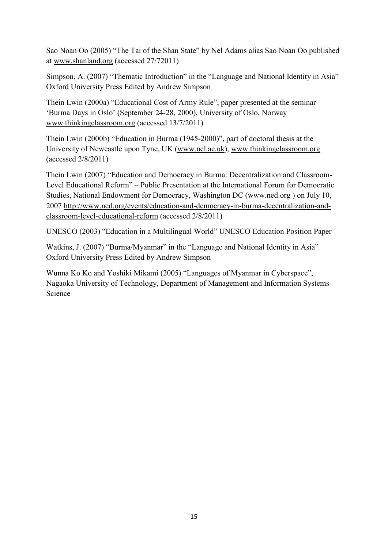Sao Noan Oo (2005) "The Tai of the Shan State" by Nel Adams alias Sao Noan Oo published at [www.shanland.org](http://www.shanland.org/) (accessed 27/72011)

Simpson, A. (2007) "Thematic Introduction" in the "Language and National Identity in Asia" Oxford University Press Edited by Andrew Simpson

Thein Lwin (2000a) "Educational Cost of Army Rule", paper presented at the seminar "Burma Days in Oslo" (September 24-28, 2000), University of Oslo, Norway [www.thinkingclassroom.org](http://www.thinkingclassroom.org/) (accessed 13/7/2011)

Thein Lwin (2000b) "Education in Burma (1945-2000)", part of doctoral thesis at the University of Newcastle upon Tyne, UK [\(www.ncl.ac.uk\)](http://www.ncl.ac.uk/), [www.thinkingclassroom.org](http://www.thinkingclassroom.org/) (accessed 2/8/2011)

Thein Lwin (2007) "Education and Democracy in Burma: Decentralization and Classroom-Level Educational Reform" – Public Presentation at the International Forum for Democratic Studies, National Endowment for Democracy, Washington DC [\(www.ned.org](http://www.ned.org/) ) on July 10, 2007 [http://www.ned.org/events/education-and-democracy-in-burma-decentralization-and](http://www.ned.org/events/education-and-democracy-in-burma-decentralization-and-classroom-level-educational-reform)[classroom-level-educational-reform](http://www.ned.org/events/education-and-democracy-in-burma-decentralization-and-classroom-level-educational-reform) (accessed 2/8/2011)

UNESCO (2003) "Education in a Multilingual World" UNESCO Education Position Paper

Watkins, J. (2007) "Burma/Myanmar" in the "Language and National Identity in Asia" Oxford University Press Edited by Andrew Simpson

Wunna Ko Ko and Yoshiki Mikami (2005) "Languages of Myanmar in Cyberspace", Nagaoka University of Technology, Department of Management and Information Systems Science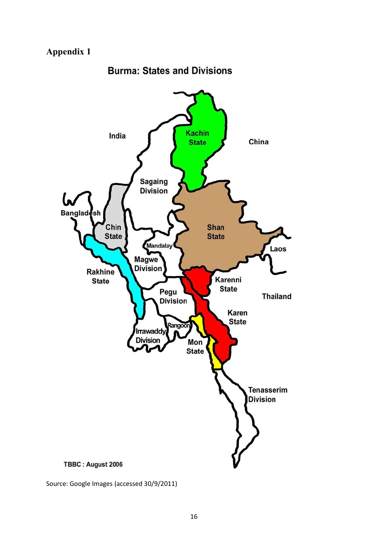# **Appendix 1**



**Burma: States and Divisions** 

Source: Google Images (accessed 30/9/2011)